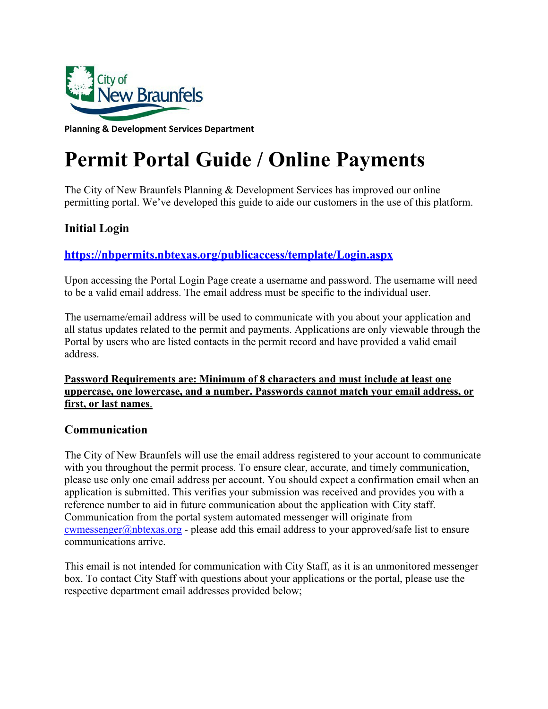

**Planning & Development Services Department**

# **Permit Portal Guide / Online Payments**

The City of New Braunfels Planning & Development Services has improved our online permitting portal. We've developed this guide to aide our customers in the use of this platform.

## **Initial Login**

## **<https://nbpermits.nbtexas.org/publicaccess/template/Login.aspx>**

Upon accessing the Portal Login Page create a username and password. The username will need to be a valid email address. The email address must be specific to the individual user.

The username/email address will be used to communicate with you about your application and all status updates related to the permit and payments. Applications are only viewable through the Portal by users who are listed contacts in the permit record and have provided a valid email address.

### **Password Requirements are: Minimum of 8 characters and must include at least one uppercase, one lowercase, and a number. Passwords cannot match your email address, or first, or last names**.

## **Communication**

The City of New Braunfels will use the email address registered to your account to communicate with you throughout the permit process. To ensure clear, accurate, and timely communication, please use only one email address per account. You should expect a confirmation email when an application is submitted. This verifies your submission was received and provides you with a reference number to aid in future communication about the application with City staff. Communication from the portal system automated messenger will originate from [cwmessenger@nbtexas.org -](mailto:cwmessenger@nbtexas.org) please add this email address to your approved/safe list to ensure communications arrive.

This email is not intended for communication with City Staff, as it is an unmonitored messenger box. To contact City Staff with questions about your applications or the portal, please use the respective department email addresses provided below;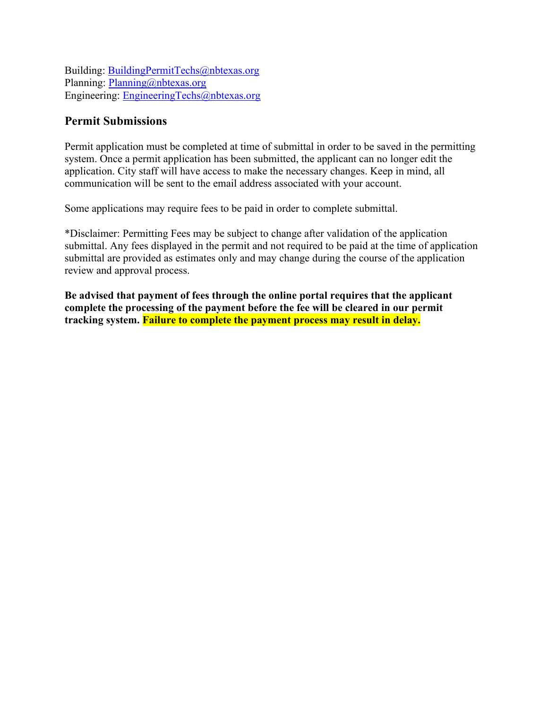Building: [BuildingPermitTechs@nbtexas.org](mailto:BuildingPermitTechs@nbtexas.org) Planning: [Planning@nbtexas.org](mailto:planning@nbtexas.org) Engineering: [EngineeringTechs@nbtexas.org](mailto:EngineeringTechs@nbtexas.org)

### **Permit Submissions**

Permit application must be completed at time of submittal in order to be saved in the permitting system. Once a permit application has been submitted, the applicant can no longer edit the application. City staff will have access to make the necessary changes. Keep in mind, all communication will be sent to the email address associated with your account.

Some applications may require fees to be paid in order to complete submittal.

\*Disclaimer: Permitting Fees may be subject to change after validation of the application submittal. Any fees displayed in the permit and not required to be paid at the time of application submittal are provided as estimates only and may change during the course of the application review and approval process.

**Be advised that payment of fees through the online portal requires that the applicant complete the processing of the payment before the fee will be cleared in our permit tracking system. Failure to complete the payment process may result in delay.**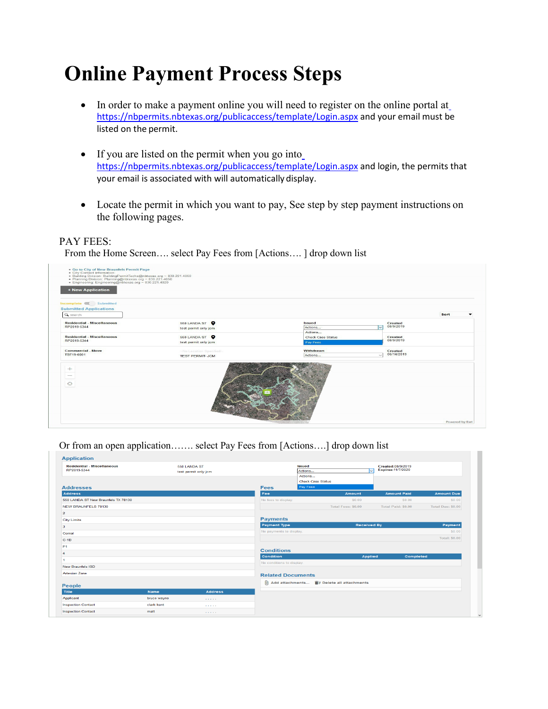# **Online Payment Process Steps**

- In order [t](https://nbpermits.nbtexas.org/publicaccess/template/Login.aspx)o make a payment online you will need to register on the online portal at <https://nbpermits.nbtexas.org/publicaccess/template/Login.aspx> and your email must be listed on the permit.
- If y[o](https://nbpermits.nbtexas.org/publicaccess/template/Login.aspx)u are listed on the permit when you go into <https://nbpermits.nbtexas.org/publicaccess/template/Login.aspx> and login, the permits that your email is associated with will automatically display.
- Locate the permit in which you want to pay, See step by step payment instructions on the following pages.

#### PAY FEES:

From the Home Screen…. select Pay Fees from [Actions…. ] drop down list



Or from an open application……. select Pay Fees from [Actions….] drop down list

| <b>Application</b><br><b>Residential - Miscellaneous</b><br>550 LANDA ST<br>RP2019-5344<br>test permit only jcm |             | Issued               | ls.<br>Actions            | Created:08/9/2019<br>Expires: 11/7/2020             |                    |                      |
|-----------------------------------------------------------------------------------------------------------------|-------------|----------------------|---------------------------|-----------------------------------------------------|--------------------|----------------------|
| <b>Addresses</b>                                                                                                |             |                      | <b>Fees</b>               | Actions<br><b>Check Case Status</b><br>Pay Fees     |                    |                      |
| <b>Address</b>                                                                                                  |             |                      | Fee                       | <b>Amount</b>                                       | <b>Amount Paid</b> | <b>Amount Due</b>    |
| 550 LANDA ST New Braunfels TX 78130                                                                             |             |                      | No fees to display.       | \$0.00                                              | \$0.00             | \$0.00               |
| <b>NEW BRAUNFELS 78130</b>                                                                                      |             |                      |                           | Total Fees: \$0.00                                  | Total Paid: \$0.00 | Total Due: \$0.00    |
| $\overline{2}$                                                                                                  |             |                      |                           |                                                     |                    |                      |
| <b>City Limits</b>                                                                                              |             |                      | <b>Payments</b>           |                                                     |                    |                      |
| 3.                                                                                                              |             |                      | <b>Payment Type</b>       | <b>Received By</b>                                  |                    | Payment              |
| Comal                                                                                                           |             |                      | No payments to display.   |                                                     |                    | S0.00                |
| $C-1B$                                                                                                          |             |                      |                           |                                                     |                    | <b>Total: \$0.00</b> |
| F1                                                                                                              |             |                      |                           |                                                     |                    |                      |
|                                                                                                                 |             |                      | <b>Conditions</b>         |                                                     |                    |                      |
|                                                                                                                 |             |                      | <b>Condition</b>          | <b>Applied</b>                                      | Completed          |                      |
| <b>New Braunfels ISD</b>                                                                                        |             |                      | No conditions to display. |                                                     |                    |                      |
| <b>Artesian Zone</b>                                                                                            |             |                      | <b>Related Documents</b>  |                                                     |                    |                      |
| <b>People</b>                                                                                                   |             |                      |                           | $[0]$ Add attachments $[[]]$ Delete all attachments |                    |                      |
| <b>Title</b>                                                                                                    | <b>Name</b> | <b>Address</b>       |                           |                                                     |                    |                      |
| Applicant                                                                                                       | bruce wayne | <b>Service</b> State |                           |                                                     |                    |                      |
| <b>Inspection Contact</b>                                                                                       | clark kent  | <b>ALCOHOL:</b>      |                           |                                                     |                    |                      |
| <b>Inspection Contact</b>                                                                                       | matt        | <b>STATES</b>        |                           |                                                     |                    |                      |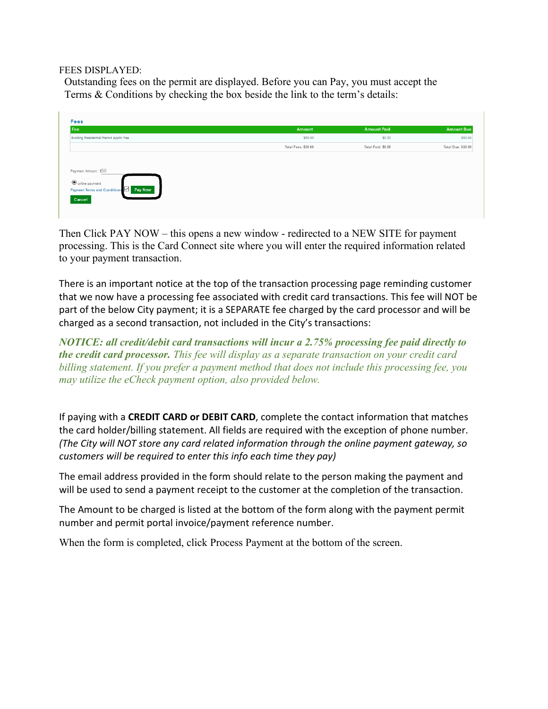#### FEES DISPLAYED:

Outstanding fees on the permit are displayed. Before you can Pay, you must accept the Terms & Conditions by checking the box beside the link to the term's details:

| Fee                                                        | Amount              | <b>Amount Paid</b> | <b>Amount Due</b>         |
|------------------------------------------------------------|---------------------|--------------------|---------------------------|
| Building Residential Permit Applic Fee                     | \$50.00             | \$0.00             | \$50.00                   |
|                                                            | Total Fees: \$50.00 | Total Paid: \$0.00 | <b>Total Due: \$50.00</b> |
| Payment Amount: \$50                                       |                     |                    |                           |
| O online payment<br>Payment Terms and Conditions V Pay Now |                     |                    |                           |

Then Click PAY NOW – this opens a new window - redirected to a NEW SITE for payment processing. This is the Card Connect site where you will enter the required information related to your payment transaction.

There is an important notice at the top of the transaction processing page reminding customer that we now have a processing fee associated with credit card transactions. This fee will NOT be part of the below City payment; it is a SEPARATE fee charged by the card processor and will be charged as a second transaction, not included in the City's transactions:

*NOTICE: all credit/debit card transactions will incur a 2.75% processing fee paid directly to the credit card processor. This fee will display as a separate transaction on your credit card billing statement. If you prefer a payment method that does not include this processing fee, you may utilize the eCheck payment option, also provided below.*

If paying with a **CREDIT CARD or DEBIT CARD**, complete the contact information that matches the card holder/billing statement. All fields are required with the exception of phone number. *(The City will NOT store any card related information through the online payment gateway, so customers will be required to enter this info each time they pay)*

The email address provided in the form should relate to the person making the payment and will be used to send a payment receipt to the customer at the completion of the transaction.

The Amount to be charged is listed at the bottom of the form along with the payment permit number and permit portal invoice/payment reference number.

When the form is completed, click Process Payment at the bottom of the screen.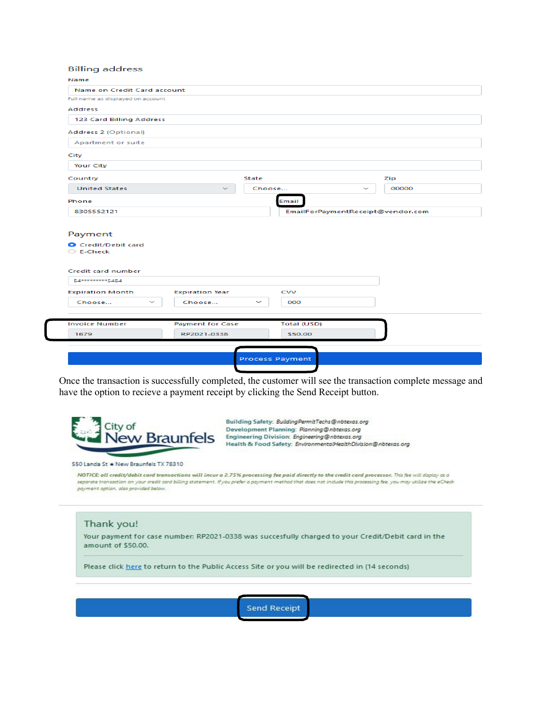| <b>Billing address</b>                                                                                                                 |                                        |              |                                   |        |       |
|----------------------------------------------------------------------------------------------------------------------------------------|----------------------------------------|--------------|-----------------------------------|--------|-------|
| Name                                                                                                                                   |                                        |              |                                   |        |       |
| Name on Credit Card account                                                                                                            |                                        |              |                                   |        |       |
| Full name as displayed on account                                                                                                      |                                        |              |                                   |        |       |
| <b>Address</b>                                                                                                                         |                                        |              |                                   |        |       |
| 123 Card Billing Address                                                                                                               |                                        |              |                                   |        |       |
| Address 2 (Optional)                                                                                                                   |                                        |              |                                   |        |       |
| Apartment or suite                                                                                                                     |                                        |              |                                   |        |       |
| City                                                                                                                                   |                                        |              |                                   |        |       |
| <b>Your City</b>                                                                                                                       |                                        |              |                                   |        |       |
| Country                                                                                                                                |                                        | State        |                                   |        | Zip   |
| <b>United States</b>                                                                                                                   |                                        | Choose       |                                   | $\sim$ | 00000 |
| Phone                                                                                                                                  |                                        |              | Email                             |        |       |
| 8305552121                                                                                                                             |                                        |              | EmailForPaymentReceipt@vendor.com |        |       |
| Payment<br>Credit/Debit card<br>E-Check<br>Credit card number<br>54**********5454<br><b>Expiration Month</b><br>$\checkmark$<br>Choose | <b>Expiration Year</b><br>Choose       | $\checkmark$ | <b>CVV</b><br>000                 |        |       |
| <b>Invoice Number</b><br>1679                                                                                                          | <b>Payment for Case</b><br>RP2021-0338 |              | Total (USD)<br>\$50.00            |        |       |
|                                                                                                                                        |                                        |              |                                   |        |       |
|                                                                                                                                        |                                        |              |                                   |        |       |
|                                                                                                                                        |                                        |              | <b>Process Payment</b>            |        |       |

Once the transaction is successfully completed, the customer will see the transaction complete message and have the option to recieve a payment receipt by clicking the Send Receipt button.



Building Safety: Building Permit Techs@nbtexas.org Development Planning: Planning@nbtexas.org Engineering Division: Engineering@nbtexas.org Health & Food Safety: EnvironmentalHealthDivision@nbtexas.org

550 Landa St \* New Braunfels TX 78310

NOTICE all credit/debit card transactions will incur a 2.75% processing fee paid directly to the credit card processor. This fee will display as a separate transaction on your credit card billing statement. If you prefer a payment method that does not include this processing fee, you may utilize the eCheck payment option, also provided below.

#### Thank you!

Your payment for case number: RP2021-0338 was succesfully charged to your Credit/Debit card in the amount of \$50.00.

Please click here to return to the Public Access Site or you will be redirected in (14 seconds)

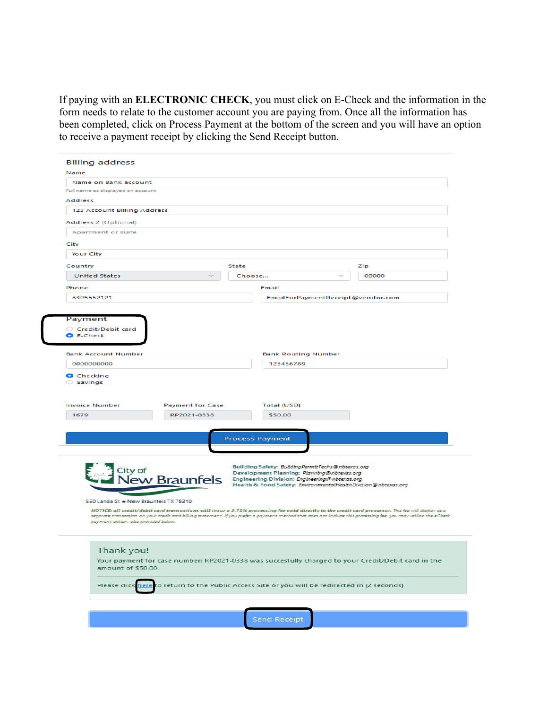If paying with an **ELECTRONIC CHECK**, you must click on E-Check and the information in the form needs to relate to the customer account you are paying from. Once all the information has been completed, click on Process Payment at the bottom of the screen and you will have an option to receive a payment receipt by clicking the Send Receipt button.

| Name on Bank account                  |                         |              |                                                                                                    |                                                                                                                                                                  |
|---------------------------------------|-------------------------|--------------|----------------------------------------------------------------------------------------------------|------------------------------------------------------------------------------------------------------------------------------------------------------------------|
| Full name as displayed on account     |                         |              |                                                                                                    |                                                                                                                                                                  |
| Address                               |                         |              |                                                                                                    |                                                                                                                                                                  |
| 123 Account Billing Address           |                         |              |                                                                                                    |                                                                                                                                                                  |
| Address 2 (Optional)                  |                         |              |                                                                                                    |                                                                                                                                                                  |
| Apartment or suite                    |                         |              |                                                                                                    |                                                                                                                                                                  |
| City                                  |                         |              |                                                                                                    |                                                                                                                                                                  |
| <b>Your City</b>                      |                         |              |                                                                                                    |                                                                                                                                                                  |
| Country                               |                         | <b>State</b> |                                                                                                    | Zip                                                                                                                                                              |
| <b>United States</b>                  |                         | Choose       | $\checkmark$                                                                                       | 00000                                                                                                                                                            |
| Phone                                 |                         |              | Email                                                                                              |                                                                                                                                                                  |
| 8305552121                            |                         |              | EmailForPaymentReceipt@vendor.com                                                                  |                                                                                                                                                                  |
|                                       |                         |              |                                                                                                    |                                                                                                                                                                  |
| Payment                               |                         |              |                                                                                                    |                                                                                                                                                                  |
| Credit/Debit card                     |                         |              |                                                                                                    |                                                                                                                                                                  |
| <b>O</b> E-Check                      |                         |              |                                                                                                    |                                                                                                                                                                  |
|                                       |                         |              |                                                                                                    |                                                                                                                                                                  |
| <b>Bank Account Number</b>            |                         |              | <b>Bank Routing Number</b>                                                                         |                                                                                                                                                                  |
| 0000000000                            |                         |              | 123456789                                                                                          |                                                                                                                                                                  |
| <b>Invoice Number</b>                 | <b>Payment for Case</b> |              | Total (USD)<br>\$50.00                                                                             |                                                                                                                                                                  |
| 1679                                  | RP2021-0338             |              |                                                                                                    |                                                                                                                                                                  |
|                                       |                         |              |                                                                                                    |                                                                                                                                                                  |
|                                       |                         |              |                                                                                                    |                                                                                                                                                                  |
|                                       |                         |              | <b>Process Payment</b>                                                                             |                                                                                                                                                                  |
|                                       |                         |              |                                                                                                    |                                                                                                                                                                  |
|                                       |                         |              |                                                                                                    |                                                                                                                                                                  |
| City of                               |                         |              | Building Safety: BuildingPermitTechs@nbtexas.org<br>Development Planning: Planning@nbtexas.org     |                                                                                                                                                                  |
|                                       | ew Braunfels            |              | Engineering Division: Engineering@nbtexas.org                                                      |                                                                                                                                                                  |
|                                       |                         |              | Health & Food Safety: EnvironmentalHealthDivision@nbtexas.org                                      |                                                                                                                                                                  |
| 550 Landa St * New Braunfels TX 78310 |                         |              |                                                                                                    |                                                                                                                                                                  |
|                                       |                         |              |                                                                                                    | NOTICE: all credit/debit card transactions will incur a 2.75% processing fee paid directly to the credit card processor. This fee will display as a              |
| payment option, also provided below.  |                         |              |                                                                                                    | separate transaction on your credit card billing statement. If you prefer a payment method that does not include this processing fee, you may utilize the eCheck |
|                                       |                         |              |                                                                                                    |                                                                                                                                                                  |
|                                       |                         |              |                                                                                                    |                                                                                                                                                                  |
| Thank you!                            |                         |              |                                                                                                    |                                                                                                                                                                  |
|                                       |                         |              | Your payment for case number: RP2021-0338 was succesfully charged to your Credit/Debit card in the |                                                                                                                                                                  |
| amount of \$50.00.                    |                         |              |                                                                                                    |                                                                                                                                                                  |
|                                       |                         |              | Please click here to return to the Public Access Site or you will be redirected in (2 seconds)     |                                                                                                                                                                  |
|                                       |                         |              |                                                                                                    |                                                                                                                                                                  |